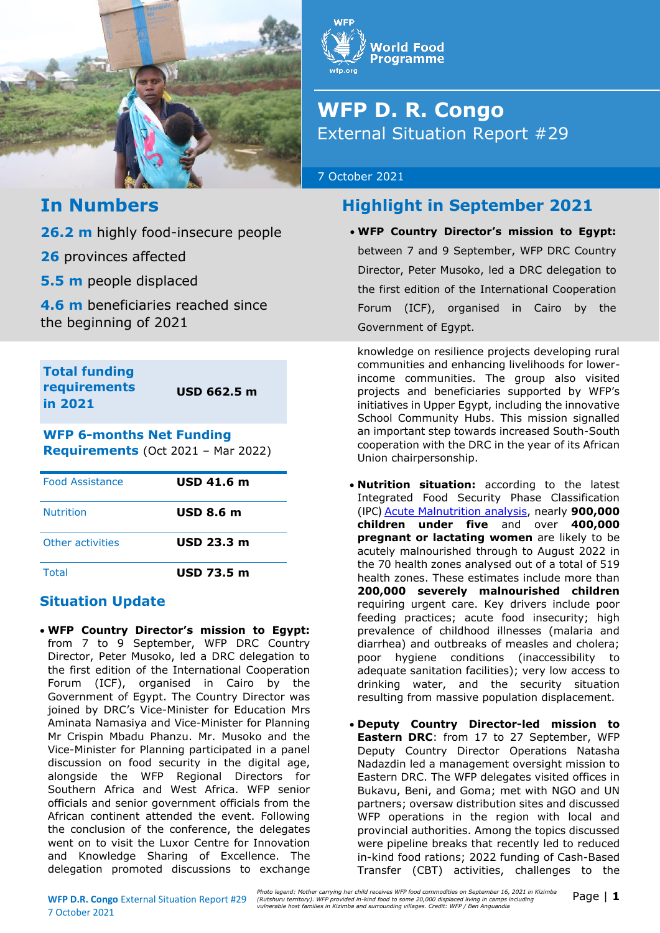



# **WFP D. R. Congo** External Situation Report #29

#### 7 October 2021

# **In Numbers**

**26.2 m** highly food-insecure people

**26** provinces affected

**5.5 m** people displaced

**4.6 m** beneficiaries reached since the beginning of 2021

**Total funding requirements in 2021**

**USD 662.5 m**

### **WFP 6-months Net Funding Requirements** (Oct 2021 – Mar 2022)

| <b>Food Assistance</b> | $USD$ 41.6 m      |
|------------------------|-------------------|
| <b>Nutrition</b>       | <b>USD 8.6 m</b>  |
| Other activities       | <b>USD 23.3 m</b> |
| <b>Total</b>           | <b>USD 73.5 m</b> |

## **Situation Update**

• **WFP Country Director's mission to Egypt:**  from 7 to 9 September, WFP DRC Country Director, Peter Musoko, led a DRC delegation to the first edition of the International Cooperation Forum (ICF), organised in Cairo by the Government of Egypt. The Country Director was joined by DRC's Vice-Minister for Education Mrs Aminata Namasiya and Vice-Minister for Planning Mr Crispin Mbadu Phanzu. Mr. Musoko and the Vice-Minister for Planning participated in a panel discussion on food security in the digital age, alongside the WFP Regional Directors for Southern Africa and West Africa. WFP senior officials and senior government officials from the African continent attended the event. Following the conclusion of the conference, the delegates went on to visit the Luxor Centre for Innovation and Knowledge Sharing of Excellence. The delegation promoted discussions to exchange **Highlight in September 2021**

• **WFP Country Director's mission to Egypt:**  between 7 and 9 September, WFP DRC Country Director, Peter Musoko, led a DRC delegation to the first edition of the International Cooperation Forum (ICF), organised in Cairo by the Government of Egypt.

knowledge on resilience projects developing rural communities and enhancing livelihoods for lowerincome communities. The group also visited projects and beneficiaries supported by WFP's initiatives in Upper Egypt, including the innovative School Community Hubs. This mission signalled an important step towards increased South-South cooperation with the DRC in the year of its African Union chairpersonship.

- **Nutrition situation:** according to the latest Integrated Food Security Phase Classification (IPC) [Acute Malnutrition analysis,](https://eur03.safelinks.protection.outlook.com/?url=https%3A%2F%2Freliefweb.int%2Fsites%2Freliefweb.int%2Ffiles%2Fresources%2FIPC_DRC_Acute_Malnutrition_2021Sept2022Aug_Snapshot_English.pdf&data=04%7C01%7Cleonardo.dasilveira%40wfp.org%7C826b7f60485b465a227f08d984a5a13b%7C462ad9aed7d94206b87471b1e079776f%7C0%7C0%7C637686669380906824%7CUnknown%7CTWFpbGZsb3d8eyJWIjoiMC4wLjAwMDAiLCJQIjoiV2luMzIiLCJBTiI6Ik1haWwiLCJXVCI6Mn0%3D%7C1000&sdata=38r0So4PCAoF0CL2owiMJL3uhfeyDrkWD9%2FKXeKilVk%3D&reserved=0) nearly **900,000 children under five** and over **400,000 pregnant or lactating women** are likely to be acutely malnourished through to August 2022 in the 70 health zones analysed out of a total of 519 health zones. These estimates include more than **200,000 severely malnourished children** requiring urgent care. Key drivers include poor feeding practices; acute food insecurity; high prevalence of childhood illnesses (malaria and diarrhea) and outbreaks of measles and cholera; poor hygiene conditions (inaccessibility to adequate sanitation facilities); very low access to drinking water, and the security situation resulting from massive population displacement.
- **Deputy Country Director-led mission to Eastern DRC**: from 17 to 27 September, WFP Deputy Country Director Operations Natasha Nadazdin led a management oversight mission to Eastern DRC. The WFP delegates visited offices in Bukavu, Beni, and Goma; met with NGO and UN partners; oversaw distribution sites and discussed WFP operations in the region with local and provincial authorities. Among the topics discussed were pipeline breaks that recently led to reduced in-kind food rations; 2022 funding of Cash-Based Transfer (CBT) activities, challenges to the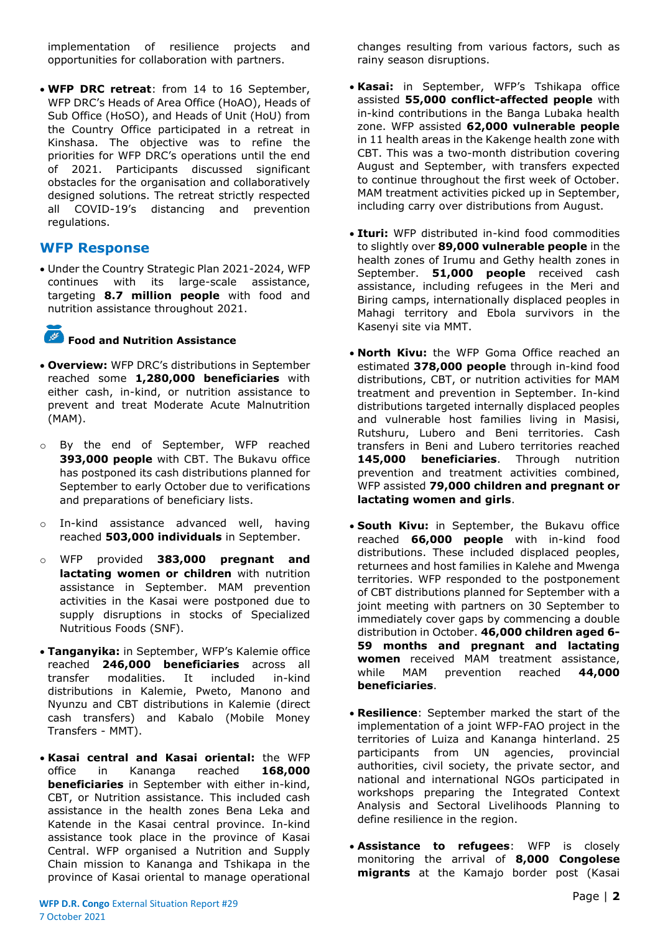implementation of resilience projects and opportunities for collaboration with partners.

• **WFP DRC retreat**: from 14 to 16 September, WFP DRC's Heads of Area Office (HoAO), Heads of Sub Office (HoSO), and Heads of Unit (HoU) from the Country Office participated in a retreat in Kinshasa. The objective was to refine the priorities for WFP DRC's operations until the end of 2021. Participants discussed significant obstacles for the organisation and collaboratively designed solutions. The retreat strictly respected all COVID-19's distancing and prevention regulations.

### **WFP Response**

• Under the Country Strategic Plan 2021-2024, WFP continues with its large-scale assistance, targeting **8.7 million people** with food and nutrition assistance throughout 2021.

## **Food and Nutrition Assistance**

- **Overview:** WFP DRC's distributions in September reached some **1,280,000 beneficiaries** with either cash, in-kind, or nutrition assistance to prevent and treat Moderate Acute Malnutrition (MAM).
- o By the end of September, WFP reached **393,000 people** with CBT. The Bukavu office has postponed its cash distributions planned for September to early October due to verifications and preparations of beneficiary lists.
- o In-kind assistance advanced well, having reached **503,000 individuals** in September.
- o WFP provided **383,000 pregnant and lactating women or children** with nutrition assistance in September. MAM prevention activities in the Kasai were postponed due to supply disruptions in stocks of Specialized Nutritious Foods (SNF).
- **Tanganyika:** in September, WFP's Kalemie office reached **246,000 beneficiaries** across all transfer modalities. It included in-kind distributions in Kalemie, Pweto, Manono and Nyunzu and CBT distributions in Kalemie (direct cash transfers) and Kabalo (Mobile Money Transfers - MMT).
- **Kasai central and Kasai oriental:** the WFP office in Kananga reached **168,000 beneficiaries** in September with either in-kind, CBT, or Nutrition assistance. This included cash assistance in the health zones Bena Leka and Katende in the Kasai central province. In-kind assistance took place in the province of Kasai Central. WFP organised a Nutrition and Supply Chain mission to Kananga and Tshikapa in the province of Kasai oriental to manage operational

changes resulting from various factors, such as rainy season disruptions.

- **Kasai:** in September, WFP's Tshikapa office assisted **55,000 conflict-affected people** with in-kind contributions in the Banga Lubaka health zone. WFP assisted **62,000 vulnerable people** in 11 health areas in the Kakenge health zone with CBT. This was a two-month distribution covering August and September, with transfers expected to continue throughout the first week of October. MAM treatment activities picked up in September, including carry over distributions from August.
- **Ituri:** WFP distributed in-kind food commodities to slightly over **89,000 vulnerable people** in the health zones of Irumu and Gethy health zones in September. **51,000 people** received cash assistance, including refugees in the Meri and Biring camps, internationally displaced peoples in Mahagi territory and Ebola survivors in the Kasenyi site via MMT.
- **North Kivu:** the WFP Goma Office reached an estimated **378,000 people** through in-kind food distributions, CBT, or nutrition activities for MAM treatment and prevention in September. In-kind distributions targeted internally displaced peoples and vulnerable host families living in Masisi, Rutshuru, Lubero and Beni territories. Cash transfers in Beni and Lubero territories reached **145,000 beneficiaries**. Through nutrition prevention and treatment activities combined, WFP assisted **79,000 children and pregnant or lactating women and girls**.
- **South Kivu:** in September, the Bukavu office reached **66,000 people** with in-kind food distributions. These included displaced peoples, returnees and host families in Kalehe and Mwenga territories. WFP responded to the postponement of CBT distributions planned for September with a joint meeting with partners on 30 September to immediately cover gaps by commencing a double distribution in October. **46,000 children aged 6- 59 months and pregnant and lactating women** received MAM treatment assistance, while MAM prevention reached **44,000 beneficiaries**.
- **Resilience**: September marked the start of the implementation of a joint WFP-FAO project in the territories of Luiza and Kananga hinterland. 25 participants from UN agencies, provincial authorities, civil society, the private sector, and national and international NGOs participated in workshops preparing the Integrated Context Analysis and Sectoral Livelihoods Planning to define resilience in the region.
- **Assistance to refugees**: WFP is closely monitoring the arrival of **8,000 Congolese migrants** at the Kamajo border post (Kasai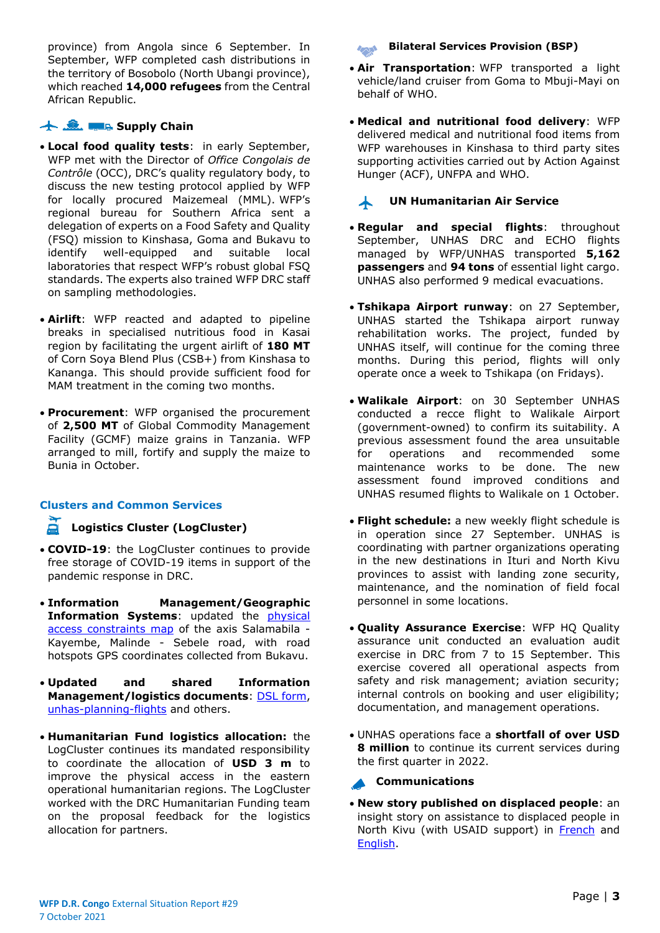province) from Angola since 6 September. In September, WFP completed cash distributions in the territory of Bosobolo (North Ubangi province), which reached **14,000 refugees** from the Central African Republic.

#### **Supply Chain**

- **Local food quality tests**: in early September, WFP met with the Director of *Office Congolais de Contrôle* (OCC), DRC's quality regulatory body, to discuss the new testing protocol applied by WFP for locally procured Maizemeal (MML). WFP's regional bureau for Southern Africa sent a delegation of experts on a Food Safety and Quality (FSQ) mission to Kinshasa, Goma and Bukavu to identify well-equipped and suitable local laboratories that respect WFP's robust global FSQ standards. The experts also trained WFP DRC staff on sampling methodologies.
- **Airlift**: WFP reacted and adapted to pipeline breaks in specialised nutritious food in Kasai region by facilitating the urgent airlift of **180 MT**  of Corn Soya Blend Plus (CSB+) from Kinshasa to Kananga. This should provide sufficient food for MAM treatment in the coming two months.
- **Procurement**: WFP organised the procurement of **2,500 MT** of Global Commodity Management Facility (GCMF) maize grains in Tanzania. WFP arranged to mill, fortify and supply the maize to Bunia in October.

#### **Clusters and Common Services**

#### **Logistics Cluster (LogCluster)**

- **COVID-19**: the LogCluster continues to provide free storage of COVID-19 items in support of the pandemic response in DRC.
- **Information Management/Geographic Information Systems**: updated the [physical](https://logcluster.org/document/rdc-carte-des-contraintes-dacces-territoire-de-fizi-province-du-sud-kivu-21-septembre-2021)  [access constraints map](https://logcluster.org/document/rdc-carte-des-contraintes-dacces-territoire-de-fizi-province-du-sud-kivu-21-septembre-2021) of the axis Salamabila - Kayembe, Malinde - Sebele road, with road hotspots GPS coordinates collected from Bukavu.
- **Updated and shared Information Management/logistics documents**: [DSL form,](https://logcluster.org/document/formulaire-demande-de-service-logistique) [unhas-planning-flights](https://logcluster.org/document/rdc-unhas-planning-des-vols-hebdomadaires-27-septembre-2021) and others.
- **Humanitarian Fund logistics allocation:** the LogCluster continues its mandated responsibility to coordinate the allocation of **USD 3 m** to improve the physical access in the eastern operational humanitarian regions. The LogCluster worked with the DRC Humanitarian Funding team on the proposal feedback for the logistics allocation for partners.

#### **Bilateral Services Provision (BSP)**

- **Air Transportation**: WFP transported a light vehicle/land cruiser from Goma to Mbuji-Mayi on behalf of WHO.
- **Medical and nutritional food delivery**: WFP delivered medical and nutritional food items from WFP warehouses in Kinshasa to third party sites supporting activities carried out by Action Against Hunger (ACF), UNFPA and WHO.

#### **UN Humanitarian Air Service** 本

- **Regular and special flights**: throughout September, UNHAS DRC and ECHO flights managed by WFP/UNHAS transported **5,162 passengers** and **94 tons** of essential light cargo. UNHAS also performed 9 medical evacuations.
- **Tshikapa Airport runway**: on 27 September, UNHAS started the Tshikapa airport runway rehabilitation works. The project, funded by UNHAS itself, will continue for the coming three months. During this period, flights will only operate once a week to Tshikapa (on Fridays).
- **Walikale Airport**: on 30 September UNHAS conducted a recce flight to Walikale Airport (government-owned) to confirm its suitability. A previous assessment found the area unsuitable for operations and recommended some maintenance works to be done. The new assessment found improved conditions and UNHAS resumed flights to Walikale on 1 October.
- **Flight schedule:** a new weekly flight schedule is in operation since 27 September. UNHAS is coordinating with partner organizations operating in the new destinations in Ituri and North Kivu provinces to assist with landing zone security, maintenance, and the nomination of field focal personnel in some locations.
- **Quality Assurance Exercise**: WFP HQ Quality assurance unit conducted an evaluation audit exercise in DRC from 7 to 15 September. This exercise covered all operational aspects from safety and risk management; aviation security; internal controls on booking and user eligibility; documentation, and management operations.
- UNHAS operations face a **shortfall of over USD 8 million** to continue its current services during the first quarter in 2022.

#### **Communications**

• **New story published on displaced people**: an insight story on assistance to displaced people in North Kivu (with USAID support) in [French](https://fr.wfp.org/histoires/du-fufu-et-des-haricots-frits-recits-de-difficultes-et-de-force-desprit-en-republique) and [English.](https://www.wfp.org/stories/fufu-and-fried-beans-tales-hardship-and-fortitude-drc)